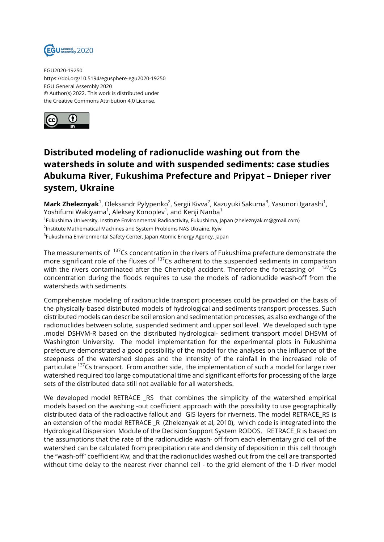

EGU2020-19250 https://doi.org/10.5194/egusphere-egu2020-19250 EGU General Assembly 2020 © Author(s) 2022. This work is distributed under the Creative Commons Attribution 4.0 License.



## **Distributed modeling of radionuclide washing out from the watersheds in solute and with suspended sediments: case studies Abukuma River, Fukushima Prefecture and Pripyat – Dnieper river system, Ukraine**

**Mark Zheleznyak**<sup>1</sup>, Oleksandr Pylypenko<sup>2</sup>, Sergii Kivva<sup>2</sup>, Kazuyuki Sakuma<sup>3</sup>, Yasunori Igarashi<sup>1</sup>, Yoshifumi Wakiyama $^1$ , Aleksey Konoplev $^1$ , and Kenji Nanba $^1$ 

1 Fukushima University, Institute Environmental Radioactivity, Fukushima, Japan (zheleznyak.m@gmail.com)

 $^2$ Institute Mathematical Machines and System Problems NAS Ukraine, Kyiv

 $^3$ Fukushima Environmental Safety Center, Japan Atomic Energy Agency, Japan

The measurements of <sup>137</sup>Cs concentration in the rivers of Fukushima prefecture demonstrate the more significant role of the fluxes of  $137$ Cs adherent to the suspended sediments in comparison with the rivers contaminated after the Chernobyl accident. Therefore the forecasting of  $137$ Cs concentration during the floods requires to use the models of radionuclide wash-off from the watersheds with sediments.

Comprehensive modeling of radionuclide transport processes could be provided on the basis of the physically-based distributed models of hydrological and sediments transport processes. Such distributed models can describe soil erosion and sedimentation processes, as also exchange of the radionuclides between solute, suspended sediment and upper soil level. We developed such type .model DSHVM-R based on the distributed hydrological- sediment transport model DHSVM of Washington University. The model implementation for the experimental plots in Fukushima prefecture demonstrated a good possibility of the model for the analyses on the influence of the steepness of the watershed slopes and the intensity of the rainfall in the increased role of particulate <sup>137</sup>Cs transport. From another side, the implementation of such a model for large river watershed required too large computational time and significant efforts for processing of the large sets of the distributed data still not available for all watersheds.

We developed model RETRACE \_RS that combines the simplicity of the watershed empirical models based on the washing -out coefficient approach with the possibility to use geographically distributed data of the radioactive fallout and GIS layers for rivernets. The model RETRACE\_RS is an extension of the model RETRACE \_R (Zheleznyak et al, 2010), which code is integrated into the Hydrological Dispersion Module of the Decision Support System RODOS. RETRACE\_R is based on the assumptions that the rate of the radionuclide wash- off from each elementary grid cell of the watershed can be calculated from precipitation rate and density of deposition in this cell through the "wash-off" coefficient Kw; and that the radionuclides washed out from the cell are transported without time delay to the nearest river channel cell - to the grid element of the 1-D river model